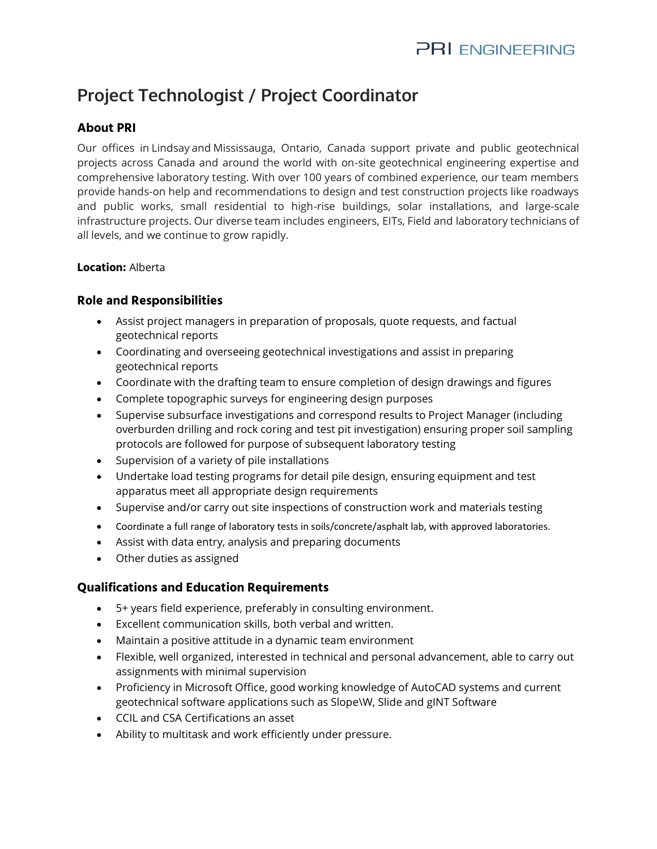# **Project Technologist / Project Coordinator**

## **About PRI**

Our offices in [Lindsaya](https://www.google.com/maps/dir/44.3545527,-78.7374432/@44.354553,-78.737443,16z?hl=en)nd [Mississauga,](https://www.google.com/maps/dir/43.7148078,-79.6254849/@43.714808,-79.625485,16z?hl=en) Ontario, Canada support private and public geotechnical projects across Canada and around the world with on-site geotechnical engineering expertise and comprehensive laboratory testing. With over 100 years of combined experience, our team members provide hands-on help and recommendations to design and test construction projects like roadways and public works, small residential to high-rise buildings, solar installations, and large-scale infrastructure projects. Our diverse team includes engineers, EITs, Field and laboratory technicians of all levels, and we continue to grow rapidly.

#### **Location:** Alberta

#### **Role and Responsibilities**

- Assist project managers in preparation of proposals, quote requests, and factual geotechnical reports
- Coordinating and overseeing geotechnical investigations and assist in preparing geotechnical reports
- Coordinate with the drafting team to ensure completion of design drawings and figures
- Complete topographic surveys for engineering design purposes
- Supervise subsurface investigations and correspond results to Project Manager (including overburden drilling and rock coring and test pit investigation) ensuring proper soil sampling protocols are followed for purpose of subsequent laboratory testing
- Supervision of a variety of pile installations
- Undertake load testing programs for detail pile design, ensuring equipment and test apparatus meet all appropriate design requirements
- Supervise and/or carry out site inspections of construction work and materials testing
- Coordinate a full range of laboratory tests in soils/concrete/asphalt lab, with approved laboratories.
- Assist with data entry, analysis and preparing documents
- Other duties as assigned

### **Qualifications and Education Requirements**

- 5+ years field experience, preferably in consulting environment.
- Excellent communication skills, both verbal and written.
- Maintain a positive attitude in a dynamic team environment
- Flexible, well organized, interested in technical and personal advancement, able to carry out assignments with minimal supervision
- Proficiency in Microsoft Office, good working knowledge of AutoCAD systems and current geotechnical software applications such as Slope\W, Slide and gINT Software
- CCIL and CSA Certifications an asset
- Ability to multitask and work efficiently under pressure.